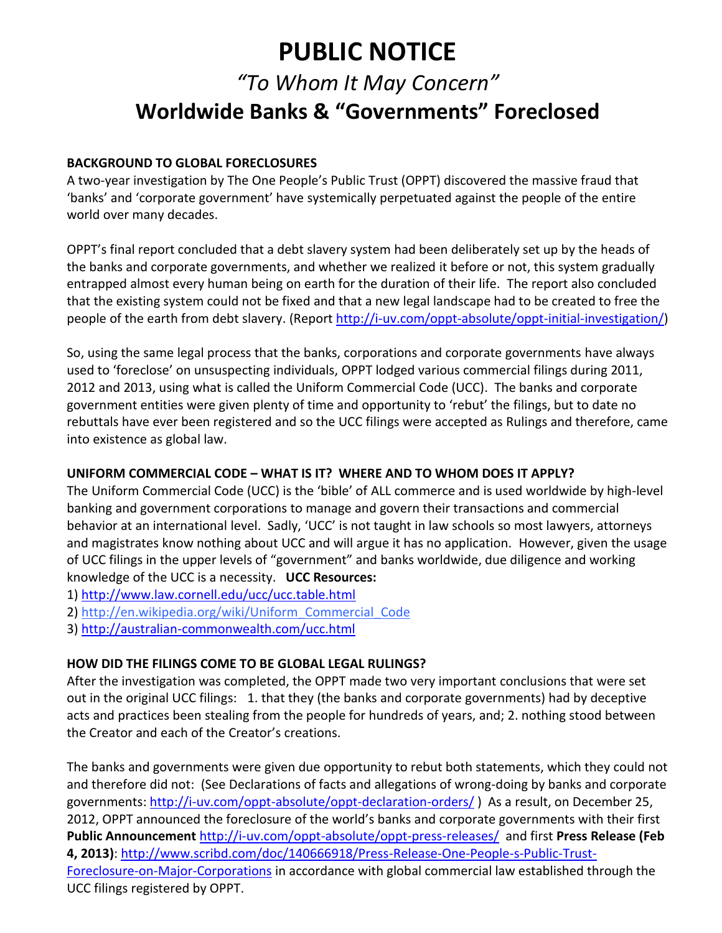# **PUBLIC NOTICE**

## *"To Whom It May Concern"* **Worldwide Banks & "Governments" Foreclosed**

### **BACKGROUND TO GLOBAL FORECLOSURES**

A two-year investigation by The One People's Public Trust (OPPT) discovered the massive fraud that 'banks' and 'corporate government' have systemically perpetuated against the people of the entire world over many decades.

OPPT's final report concluded that a debt slavery system had been deliberately set up by the heads of the banks and corporate governments, and whether we realized it before or not, this system gradually entrapped almost every human being on earth for the duration of their life. The report also concluded that the existing system could not be fixed and that a new legal landscape had to be created to free the people of the earth from debt slavery. (Report [http://i-uv.com/oppt-absolute/oppt-initial-investigation/\)](http://i-uv.com/oppt-absolute/oppt-initial-investigation/)

So, using the same legal process that the banks, corporations and corporate governments have always used to 'foreclose' on unsuspecting individuals, OPPT lodged various commercial filings during 2011, 2012 and 2013, using what is called the Uniform Commercial Code (UCC). The banks and corporate government entities were given plenty of time and opportunity to 'rebut' the filings, but to date no rebuttals have ever been registered and so the UCC filings were accepted as Rulings and therefore, came into existence as global law.

## **UNIFORM COMMERCIAL CODE – WHAT IS IT? WHERE AND TO WHOM DOES IT APPLY?**

The Uniform Commercial Code (UCC) is the 'bible' of ALL commerce and is used worldwide by high-level banking and government corporations to manage and govern their transactions and commercial behavior at an international level. Sadly, 'UCC' is not taught in law schools so most lawyers, attorneys and magistrates know nothing about UCC and will argue it has no application. However, given the usage of UCC filings in the upper levels of "government" and banks worldwide, due diligence and working knowledge of the UCC is a necessity. **UCC Resources:** 

- 1)<http://www.law.cornell.edu/ucc/ucc.table.html>
- 2) [http://en.wikipedia.org/wiki/Uniform\\_Commercial\\_Code](http://en.wikipedia.org/wiki/Uniform_Commercial_Code)
- 3)<http://australian-commonwealth.com/ucc.html>

## **HOW DID THE FILINGS COME TO BE GLOBAL LEGAL RULINGS?**

After the investigation was completed, the OPPT made two very important conclusions that were set out in the original UCC filings: 1. that they (the banks and corporate governments) had by deceptive acts and practices been stealing from the people for hundreds of years, and; 2. nothing stood between the Creator and each of the Creator's creations.

The banks and governments were given due opportunity to rebut both statements, which they could not and therefore did not: (See Declarations of facts and allegations of wrong-doing by banks and corporate governments:<http://i-uv.com/oppt-absolute/oppt-declaration-orders/>) As a result, on December 25, 2012, OPPT announced the foreclosure of the world's banks and corporate governments with their first **Public Announcement** <http://i-uv.com/oppt-absolute/oppt-press-releases/>and first **Press Release (Feb 4, 2013)**: [http://www.scribd.com/doc/140666918/Press-Release-One-People-s-Public-Trust-](http://www.scribd.com/doc/140666918/Press-Release-One-People-s-Public-Trust-Foreclosure-on-Major-Corporations)[Foreclosure-on-Major-Corporations](http://www.scribd.com/doc/140666918/Press-Release-One-People-s-Public-Trust-Foreclosure-on-Major-Corporations) in accordance with global commercial law established through the UCC filings registered by OPPT.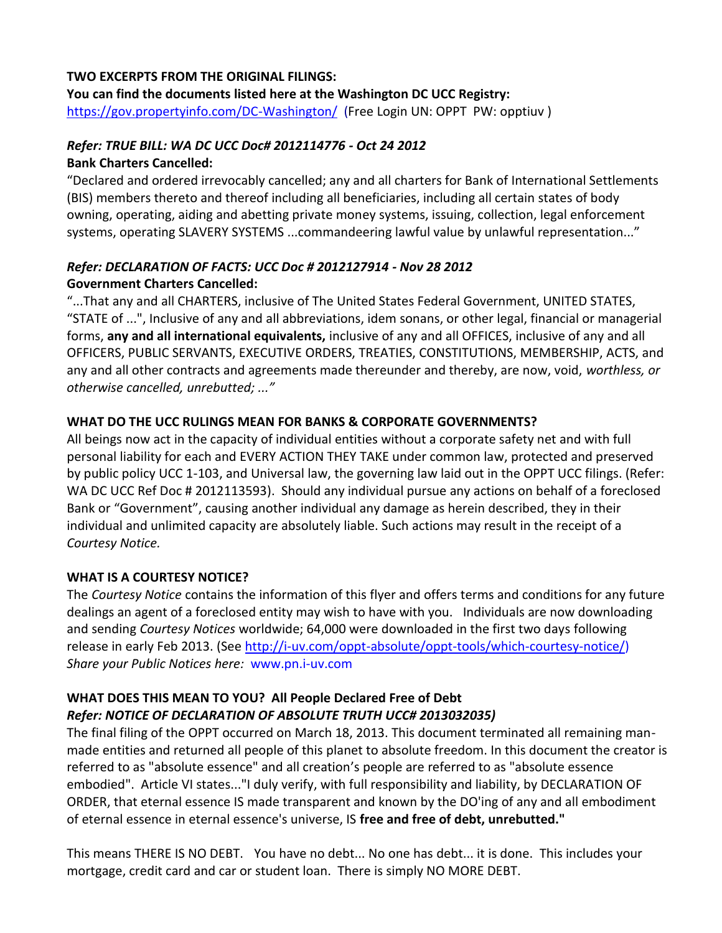### **TWO EXCERPTS FROM THE ORIGINAL FILINGS:**

**You can find the documents listed here at the Washington DC UCC Registry:**  <https://gov.propertyinfo.com/DC-Washington/> (Free Login UN: OPPT PW: opptiuv )

#### *Refer: TRUE BILL: WA DC UCC Doc# 2012114776 - Oct 24 2012* **Bank Charters Cancelled:**

"Declared and ordered irrevocably cancelled; any and all charters for Bank of International Settlements (BIS) members thereto and thereof including all beneficiaries, including all certain states of body owning, operating, aiding and abetting private money systems, issuing, collection, legal enforcement systems, operating SLAVERY SYSTEMS ...commandeering lawful value by unlawful representation..."

## *Refer: DECLARATION OF FACTS: UCC Doc # 2012127914 - Nov 28 2012* **Government Charters Cancelled:**

"...That any and all CHARTERS, inclusive of The United States Federal Government, UNITED STATES, "STATE of ...", Inclusive of any and all abbreviations, idem sonans, or other legal, financial or managerial forms, **any and all international equivalents,** inclusive of any and all OFFICES, inclusive of any and all OFFICERS, PUBLIC SERVANTS, EXECUTIVE ORDERS, TREATIES, CONSTITUTIONS, MEMBERSHIP, ACTS, and any and all other contracts and agreements made thereunder and thereby, are now, void, *worthless, or otherwise cancelled, unrebutted; ..."*

## **WHAT DO THE UCC RULINGS MEAN FOR BANKS & CORPORATE GOVERNMENTS?**

All beings now act in the capacity of individual entities without a corporate safety net and with full personal liability for each and EVERY ACTION THEY TAKE under common law, protected and preserved by public policy UCC 1-103, and Universal law, the governing law laid out in the OPPT UCC filings. (Refer: WA DC UCC Ref Doc # 2012113593). Should any individual pursue any actions on behalf of a foreclosed Bank or "Government", causing another individual any damage as herein described, they in their individual and unlimited capacity are absolutely liable. Such actions may result in the receipt of a *Courtesy Notice.*

### **WHAT IS A COURTESY NOTICE?**

The *Courtesy Notice* contains the information of this flyer and offers terms and conditions for any future dealings an agent of a foreclosed entity may wish to have with you. Individuals are now downloading and sending *Courtesy Notices* worldwide; 64,000 were downloaded in the first two days following release in early Feb 2013. (See [http://i-uv.com/oppt-absolute/oppt-tools/which-courtesy-notice/\)](http://i-uv.com/oppt-absolute/oppt-tools/which-courtesy-notice/) *Share your Public Notices here:* www.pn.i-uv.com

#### **WHAT DOES THIS MEAN TO YOU? All People Declared Free of Debt**  *Refer: NOTICE OF DECLARATION OF ABSOLUTE TRUTH UCC# 2013032035)*

The final filing of the OPPT occurred on March 18, 2013. This document terminated all remaining manmade entities and returned all people of this planet to absolute freedom. In this document the creator is referred to as "absolute essence" and all creation's people are referred to as "absolute essence embodied". Article VI states..."I duly verify, with full responsibility and liability, by DECLARATION OF ORDER, that eternal essence IS made transparent and known by the DO'ing of any and all embodiment of eternal essence in eternal essence's universe, IS **free and free of debt, unrebutted."**

This means THERE IS NO DEBT. You have no debt... No one has debt... it is done. This includes your mortgage, credit card and car or student loan. There is simply NO MORE DEBT.